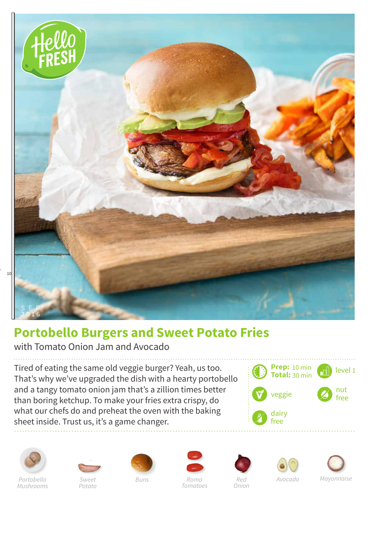

## **Portobello Burgers and Sweet Potato Fries**

with Tomato Onion Jam and Avocado

Tired of eating the same old veggie burger? Yeah, us too. That's why we've upgraded the dish with a hearty portobello and a tangy tomato onion jam that's a zillion times better than boring ketchup. To make your fries extra crispy, do what our chefs do and preheat the oven with the baking sheet inside. Trust us, it's a game changer.





*Portobello Mushrooms*



*Potato*













*Red Onion*